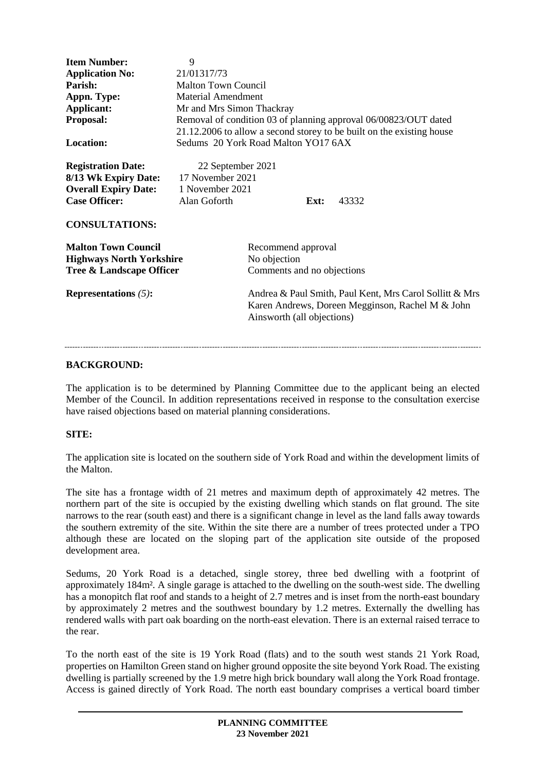| <b>Item Number:</b>             | 9                                                                     |                                                  |      |       |
|---------------------------------|-----------------------------------------------------------------------|--------------------------------------------------|------|-------|
| <b>Application No:</b>          | 21/01317/73                                                           |                                                  |      |       |
| Parish:                         | <b>Malton Town Council</b>                                            |                                                  |      |       |
| Appn. Type:                     | <b>Material Amendment</b>                                             |                                                  |      |       |
| Applicant:                      | Mr and Mrs Simon Thackray                                             |                                                  |      |       |
| Proposal:                       | Removal of condition 03 of planning approval 06/00823/OUT dated       |                                                  |      |       |
|                                 | 21.12.2006 to allow a second storey to be built on the existing house |                                                  |      |       |
| <b>Location:</b>                | Sedums 20 York Road Malton YO17 6AX                                   |                                                  |      |       |
|                                 |                                                                       |                                                  |      |       |
|                                 |                                                                       |                                                  |      |       |
| <b>Registration Date:</b>       | 22 September 2021                                                     |                                                  |      |       |
| 8/13 Wk Expiry Date:            | 17 November 2021                                                      |                                                  |      |       |
| <b>Overall Expiry Date:</b>     | 1 November 2021                                                       |                                                  |      |       |
| <b>Case Officer:</b>            | Alan Goforth                                                          |                                                  | Ext: | 43332 |
| <b>CONSULTATIONS:</b>           |                                                                       |                                                  |      |       |
| <b>Malton Town Council</b>      |                                                                       | Recommend approval                               |      |       |
| <b>Highways North Yorkshire</b> |                                                                       | No objection                                     |      |       |
| Tree & Landscape Officer        |                                                                       | Comments and no objections                       |      |       |
|                                 |                                                                       |                                                  |      |       |
| <b>Representations</b> $(5)$ :  | Andrea & Paul Smith, Paul Kent, Mrs Carol Sollitt & Mrs               |                                                  |      |       |
|                                 |                                                                       | Karen Andrews, Doreen Megginson, Rachel M & John |      |       |
|                                 |                                                                       | Ainsworth (all objections)                       |      |       |
|                                 |                                                                       |                                                  |      |       |
|                                 |                                                                       |                                                  |      |       |
|                                 |                                                                       |                                                  |      |       |

#### **BACKGROUND:**

The application is to be determined by Planning Committee due to the applicant being an elected Member of the Council. In addition representations received in response to the consultation exercise have raised objections based on material planning considerations.

#### **SITE:**

The application site is located on the southern side of York Road and within the development limits of the Malton.

The site has a frontage width of 21 metres and maximum depth of approximately 42 metres. The northern part of the site is occupied by the existing dwelling which stands on flat ground. The site narrows to the rear (south east) and there is a significant change in level as the land falls away towards the southern extremity of the site. Within the site there are a number of trees protected under a TPO although these are located on the sloping part of the application site outside of the proposed development area.

Sedums, 20 York Road is a detached, single storey, three bed dwelling with a footprint of approximately 184m². A single garage is attached to the dwelling on the south-west side. The dwelling has a monopitch flat roof and stands to a height of 2.7 metres and is inset from the north-east boundary by approximately 2 metres and the southwest boundary by 1.2 metres. Externally the dwelling has rendered walls with part oak boarding on the north-east elevation. There is an external raised terrace to the rear.

To the north east of the site is 19 York Road (flats) and to the south west stands 21 York Road, properties on Hamilton Green stand on higher ground opposite the site beyond York Road. The existing dwelling is partially screened by the 1.9 metre high brick boundary wall along the York Road frontage. Access is gained directly of York Road. The north east boundary comprises a vertical board timber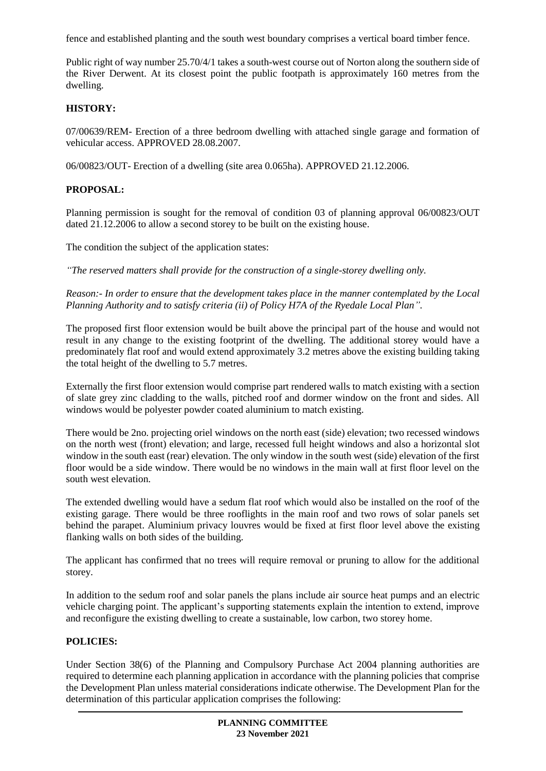fence and established planting and the south west boundary comprises a vertical board timber fence.

Public right of way number 25.70/4/1 takes a south-west course out of Norton along the southern side of the River Derwent. At its closest point the public footpath is approximately 160 metres from the dwelling.

## **HISTORY:**

07/00639/REM- Erection of a three bedroom dwelling with attached single garage and formation of vehicular access. APPROVED 28.08.2007.

06/00823/OUT- Erection of a dwelling (site area 0.065ha). APPROVED 21.12.2006.

# **PROPOSAL:**

Planning permission is sought for the removal of condition 03 of planning approval 06/00823/OUT dated 21.12.2006 to allow a second storey to be built on the existing house.

The condition the subject of the application states:

*"The reserved matters shall provide for the construction of a single-storey dwelling only.*

*Reason:- In order to ensure that the development takes place in the manner contemplated by the Local Planning Authority and to satisfy criteria (ii) of Policy H7A of the Ryedale Local Plan".*

The proposed first floor extension would be built above the principal part of the house and would not result in any change to the existing footprint of the dwelling. The additional storey would have a predominately flat roof and would extend approximately 3.2 metres above the existing building taking the total height of the dwelling to 5.7 metres.

Externally the first floor extension would comprise part rendered walls to match existing with a section of slate grey zinc cladding to the walls, pitched roof and dormer window on the front and sides. All windows would be polyester powder coated aluminium to match existing.

There would be 2no. projecting oriel windows on the north east (side) elevation; two recessed windows on the north west (front) elevation; and large, recessed full height windows and also a horizontal slot window in the south east (rear) elevation. The only window in the south west (side) elevation of the first floor would be a side window. There would be no windows in the main wall at first floor level on the south west elevation.

The extended dwelling would have a sedum flat roof which would also be installed on the roof of the existing garage. There would be three rooflights in the main roof and two rows of solar panels set behind the parapet. Aluminium privacy louvres would be fixed at first floor level above the existing flanking walls on both sides of the building.

The applicant has confirmed that no trees will require removal or pruning to allow for the additional storey.

In addition to the sedum roof and solar panels the plans include air source heat pumps and an electric vehicle charging point. The applicant's supporting statements explain the intention to extend, improve and reconfigure the existing dwelling to create a sustainable, low carbon, two storey home.

#### **POLICIES:**

Under Section 38(6) of the Planning and Compulsory Purchase Act 2004 planning authorities are required to determine each planning application in accordance with the planning policies that comprise the Development Plan unless material considerations indicate otherwise. The Development Plan for the determination of this particular application comprises the following: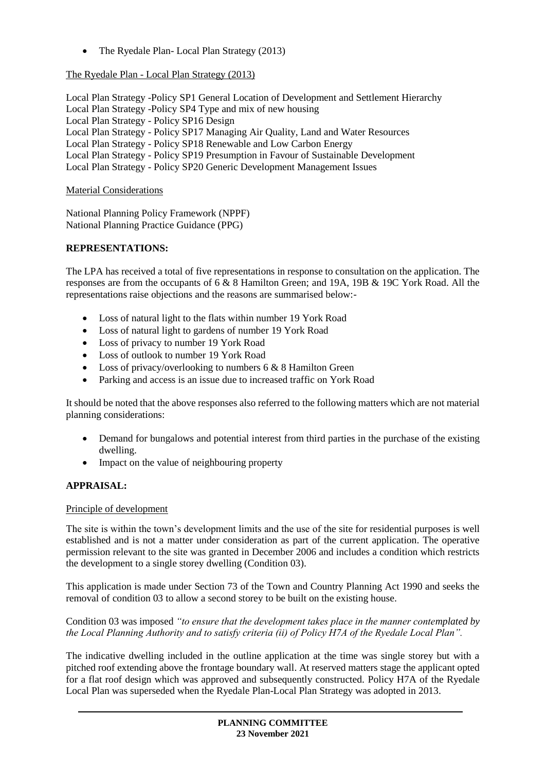• The Ryedale Plan- Local Plan Strategy (2013)

# The Ryedale Plan - Local Plan Strategy (2013)

Local Plan Strategy -Policy SP1 General Location of Development and Settlement Hierarchy Local Plan Strategy -Policy SP4 Type and mix of new housing Local Plan Strategy - Policy SP16 Design Local Plan Strategy - Policy SP17 Managing Air Quality, Land and Water Resources Local Plan Strategy - Policy SP18 Renewable and Low Carbon Energy Local Plan Strategy - Policy SP19 Presumption in Favour of Sustainable Development Local Plan Strategy - Policy SP20 Generic Development Management Issues

# Material Considerations

National Planning Policy Framework (NPPF) National Planning Practice Guidance (PPG)

# **REPRESENTATIONS:**

The LPA has received a total of five representations in response to consultation on the application. The responses are from the occupants of 6 & 8 Hamilton Green; and 19A, 19B & 19C York Road. All the representations raise objections and the reasons are summarised below:-

- Loss of natural light to the flats within number 19 York Road
- Loss of natural light to gardens of number 19 York Road
- Loss of privacy to number 19 York Road
- Loss of outlook to number 19 York Road
- Loss of privacy/overlooking to numbers 6 & 8 Hamilton Green
- Parking and access is an issue due to increased traffic on York Road

It should be noted that the above responses also referred to the following matters which are not material planning considerations:

- Demand for bungalows and potential interest from third parties in the purchase of the existing dwelling.
- Impact on the value of neighbouring property

# **APPRAISAL:**

#### Principle of development

The site is within the town's development limits and the use of the site for residential purposes is well established and is not a matter under consideration as part of the current application. The operative permission relevant to the site was granted in December 2006 and includes a condition which restricts the development to a single storey dwelling (Condition 03).

This application is made under Section 73 of the Town and Country Planning Act 1990 and seeks the removal of condition 03 to allow a second storey to be built on the existing house.

### Condition 03 was imposed *"to ensure that the development takes place in the manner contemplated by the Local Planning Authority and to satisfy criteria (ii) of Policy H7A of the Ryedale Local Plan".*

The indicative dwelling included in the outline application at the time was single storey but with a pitched roof extending above the frontage boundary wall. At reserved matters stage the applicant opted for a flat roof design which was approved and subsequently constructed. Policy H7A of the Ryedale Local Plan was superseded when the Ryedale Plan-Local Plan Strategy was adopted in 2013.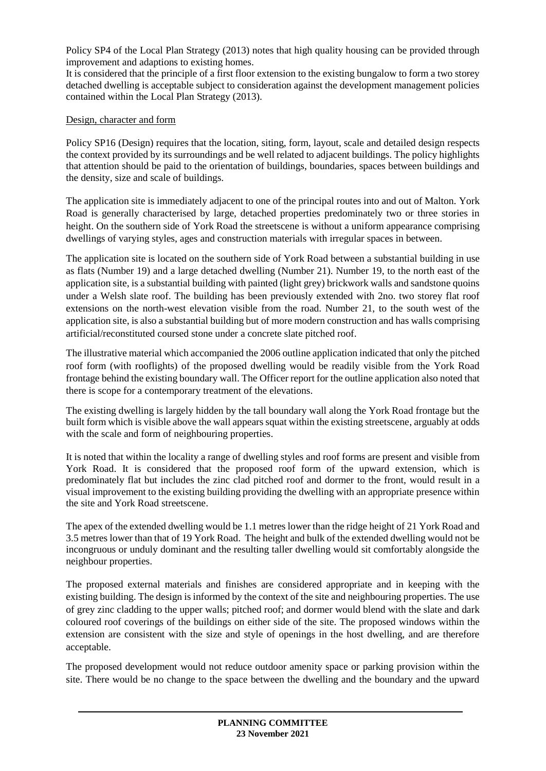Policy SP4 of the Local Plan Strategy (2013) notes that high quality housing can be provided through improvement and adaptions to existing homes.

It is considered that the principle of a first floor extension to the existing bungalow to form a two storey detached dwelling is acceptable subject to consideration against the development management policies contained within the Local Plan Strategy (2013).

## Design, character and form

Policy SP16 (Design) requires that the location, siting, form, layout, scale and detailed design respects the context provided by its surroundings and be well related to adjacent buildings. The policy highlights that attention should be paid to the orientation of buildings, boundaries, spaces between buildings and the density, size and scale of buildings.

The application site is immediately adjacent to one of the principal routes into and out of Malton. York Road is generally characterised by large, detached properties predominately two or three stories in height. On the southern side of York Road the streetscene is without a uniform appearance comprising dwellings of varying styles, ages and construction materials with irregular spaces in between.

The application site is located on the southern side of York Road between a substantial building in use as flats (Number 19) and a large detached dwelling (Number 21). Number 19, to the north east of the application site, is a substantial building with painted (light grey) brickwork walls and sandstone quoins under a Welsh slate roof. The building has been previously extended with 2no. two storey flat roof extensions on the north-west elevation visible from the road. Number 21, to the south west of the application site, is also a substantial building but of more modern construction and has walls comprising artificial/reconstituted coursed stone under a concrete slate pitched roof.

The illustrative material which accompanied the 2006 outline application indicated that only the pitched roof form (with rooflights) of the proposed dwelling would be readily visible from the York Road frontage behind the existing boundary wall. The Officer report for the outline application also noted that there is scope for a contemporary treatment of the elevations.

The existing dwelling is largely hidden by the tall boundary wall along the York Road frontage but the built form which is visible above the wall appears squat within the existing streetscene, arguably at odds with the scale and form of neighbouring properties.

It is noted that within the locality a range of dwelling styles and roof forms are present and visible from York Road. It is considered that the proposed roof form of the upward extension, which is predominately flat but includes the zinc clad pitched roof and dormer to the front, would result in a visual improvement to the existing building providing the dwelling with an appropriate presence within the site and York Road streetscene.

The apex of the extended dwelling would be 1.1 metres lower than the ridge height of 21 York Road and 3.5 metres lower than that of 19 York Road. The height and bulk of the extended dwelling would not be incongruous or unduly dominant and the resulting taller dwelling would sit comfortably alongside the neighbour properties.

The proposed external materials and finishes are considered appropriate and in keeping with the existing building. The design is informed by the context of the site and neighbouring properties. The use of grey zinc cladding to the upper walls; pitched roof; and dormer would blend with the slate and dark coloured roof coverings of the buildings on either side of the site. The proposed windows within the extension are consistent with the size and style of openings in the host dwelling, and are therefore acceptable.

The proposed development would not reduce outdoor amenity space or parking provision within the site. There would be no change to the space between the dwelling and the boundary and the upward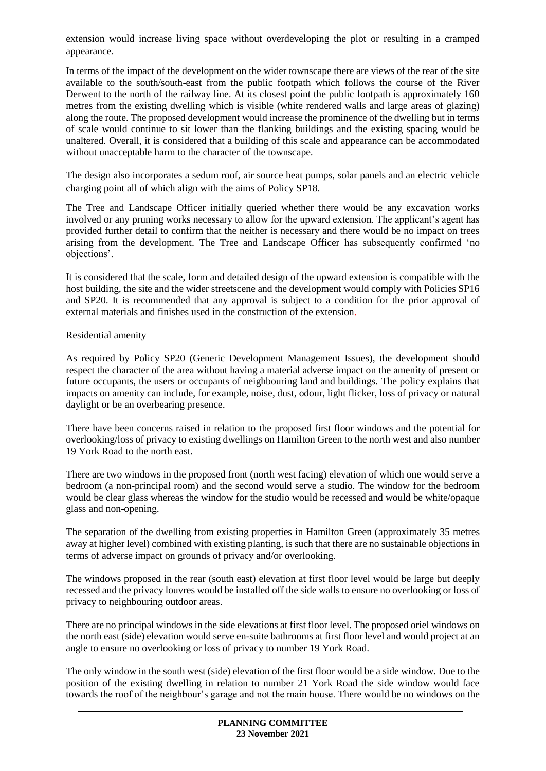extension would increase living space without overdeveloping the plot or resulting in a cramped appearance.

In terms of the impact of the development on the wider townscape there are views of the rear of the site available to the south/south-east from the public footpath which follows the course of the River Derwent to the north of the railway line. At its closest point the public footpath is approximately 160 metres from the existing dwelling which is visible (white rendered walls and large areas of glazing) along the route. The proposed development would increase the prominence of the dwelling but in terms of scale would continue to sit lower than the flanking buildings and the existing spacing would be unaltered. Overall, it is considered that a building of this scale and appearance can be accommodated without unacceptable harm to the character of the townscape.

The design also incorporates a sedum roof, air source heat pumps, solar panels and an electric vehicle charging point all of which align with the aims of Policy SP18.

The Tree and Landscape Officer initially queried whether there would be any excavation works involved or any pruning works necessary to allow for the upward extension. The applicant's agent has provided further detail to confirm that the neither is necessary and there would be no impact on trees arising from the development. The Tree and Landscape Officer has subsequently confirmed 'no objections'.

It is considered that the scale, form and detailed design of the upward extension is compatible with the host building, the site and the wider streetscene and the development would comply with Policies SP16 and SP20. It is recommended that any approval is subject to a condition for the prior approval of external materials and finishes used in the construction of the extension.

### Residential amenity

As required by Policy SP20 (Generic Development Management Issues), the development should respect the character of the area without having a material adverse impact on the amenity of present or future occupants, the users or occupants of neighbouring land and buildings. The policy explains that impacts on amenity can include, for example, noise, dust, odour, light flicker, loss of privacy or natural daylight or be an overbearing presence.

There have been concerns raised in relation to the proposed first floor windows and the potential for overlooking/loss of privacy to existing dwellings on Hamilton Green to the north west and also number 19 York Road to the north east.

There are two windows in the proposed front (north west facing) elevation of which one would serve a bedroom (a non-principal room) and the second would serve a studio. The window for the bedroom would be clear glass whereas the window for the studio would be recessed and would be white/opaque glass and non-opening.

The separation of the dwelling from existing properties in Hamilton Green (approximately 35 metres away at higher level) combined with existing planting, is such that there are no sustainable objections in terms of adverse impact on grounds of privacy and/or overlooking.

The windows proposed in the rear (south east) elevation at first floor level would be large but deeply recessed and the privacy louvres would be installed off the side walls to ensure no overlooking or loss of privacy to neighbouring outdoor areas.

There are no principal windows in the side elevations at first floor level. The proposed oriel windows on the north east (side) elevation would serve en-suite bathrooms at first floor level and would project at an angle to ensure no overlooking or loss of privacy to number 19 York Road.

The only window in the south west (side) elevation of the first floor would be a side window. Due to the position of the existing dwelling in relation to number 21 York Road the side window would face towards the roof of the neighbour's garage and not the main house. There would be no windows on the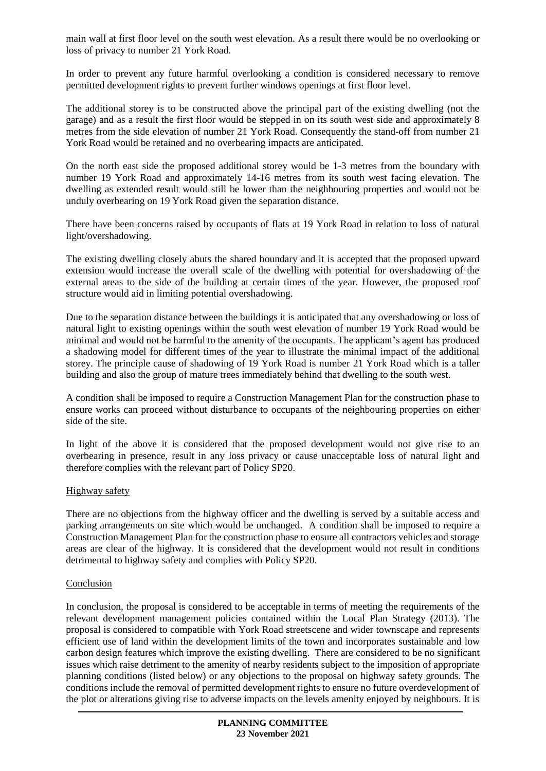main wall at first floor level on the south west elevation. As a result there would be no overlooking or loss of privacy to number 21 York Road.

In order to prevent any future harmful overlooking a condition is considered necessary to remove permitted development rights to prevent further windows openings at first floor level.

The additional storey is to be constructed above the principal part of the existing dwelling (not the garage) and as a result the first floor would be stepped in on its south west side and approximately 8 metres from the side elevation of number 21 York Road. Consequently the stand-off from number 21 York Road would be retained and no overbearing impacts are anticipated.

On the north east side the proposed additional storey would be 1-3 metres from the boundary with number 19 York Road and approximately 14-16 metres from its south west facing elevation. The dwelling as extended result would still be lower than the neighbouring properties and would not be unduly overbearing on 19 York Road given the separation distance.

There have been concerns raised by occupants of flats at 19 York Road in relation to loss of natural light/overshadowing.

The existing dwelling closely abuts the shared boundary and it is accepted that the proposed upward extension would increase the overall scale of the dwelling with potential for overshadowing of the external areas to the side of the building at certain times of the year. However, the proposed roof structure would aid in limiting potential overshadowing.

Due to the separation distance between the buildings it is anticipated that any overshadowing or loss of natural light to existing openings within the south west elevation of number 19 York Road would be minimal and would not be harmful to the amenity of the occupants. The applicant's agent has produced a shadowing model for different times of the year to illustrate the minimal impact of the additional storey. The principle cause of shadowing of 19 York Road is number 21 York Road which is a taller building and also the group of mature trees immediately behind that dwelling to the south west.

A condition shall be imposed to require a Construction Management Plan for the construction phase to ensure works can proceed without disturbance to occupants of the neighbouring properties on either side of the site.

In light of the above it is considered that the proposed development would not give rise to an overbearing in presence, result in any loss privacy or cause unacceptable loss of natural light and therefore complies with the relevant part of Policy SP20.

#### Highway safety

There are no objections from the highway officer and the dwelling is served by a suitable access and parking arrangements on site which would be unchanged. A condition shall be imposed to require a Construction Management Plan for the construction phase to ensure all contractors vehicles and storage areas are clear of the highway. It is considered that the development would not result in conditions detrimental to highway safety and complies with Policy SP20.

#### Conclusion

In conclusion, the proposal is considered to be acceptable in terms of meeting the requirements of the relevant development management policies contained within the Local Plan Strategy (2013). The proposal is considered to compatible with York Road streetscene and wider townscape and represents efficient use of land within the development limits of the town and incorporates sustainable and low carbon design features which improve the existing dwelling. There are considered to be no significant issues which raise detriment to the amenity of nearby residents subject to the imposition of appropriate planning conditions (listed below) or any objections to the proposal on highway safety grounds. The conditions include the removal of permitted development rights to ensure no future overdevelopment of the plot or alterations giving rise to adverse impacts on the levels amenity enjoyed by neighbours. It is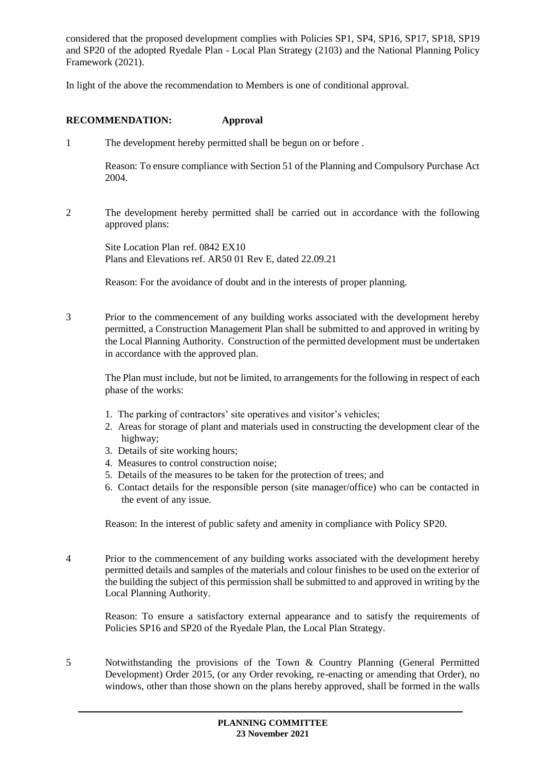considered that the proposed development complies with Policies SP1, SP4, SP16, SP17, SP18, SP19 and SP20 of the adopted Ryedale Plan - Local Plan Strategy (2103) and the National Planning Policy Framework (2021).

In light of the above the recommendation to Members is one of conditional approval.

## **RECOMMENDATION: Approval**

1 The development hereby permitted shall be begun on or before .

Reason: To ensure compliance with Section 51 of the Planning and Compulsory Purchase Act 2004.

2 The development hereby permitted shall be carried out in accordance with the following approved plans:

Site Location Plan ref. 0842 EX10 Plans and Elevations ref. AR50 01 Rev E, dated 22.09.21

Reason: For the avoidance of doubt and in the interests of proper planning.

3 Prior to the commencement of any building works associated with the development hereby permitted, a Construction Management Plan shall be submitted to and approved in writing by the Local Planning Authority. Construction of the permitted development must be undertaken in accordance with the approved plan.

The Plan must include, but not be limited, to arrangements for the following in respect of each phase of the works:

- 1. The parking of contractors' site operatives and visitor's vehicles;
- 2. Areas for storage of plant and materials used in constructing the development clear of the highway;
- 3. Details of site working hours;
- 4. Measures to control construction noise;
- 5. Details of the measures to be taken for the protection of trees; and
- 6. Contact details for the responsible person (site manager/office) who can be contacted in the event of any issue.

Reason: In the interest of public safety and amenity in compliance with Policy SP20.

4 Prior to the commencement of any building works associated with the development hereby permitted details and samples of the materials and colour finishes to be used on the exterior of the building the subject of this permission shall be submitted to and approved in writing by the Local Planning Authority.

Reason: To ensure a satisfactory external appearance and to satisfy the requirements of Policies SP16 and SP20 of the Ryedale Plan, the Local Plan Strategy.

5 Notwithstanding the provisions of the Town & Country Planning (General Permitted Development) Order 2015, (or any Order revoking, re-enacting or amending that Order), no windows, other than those shown on the plans hereby approved, shall be formed in the walls